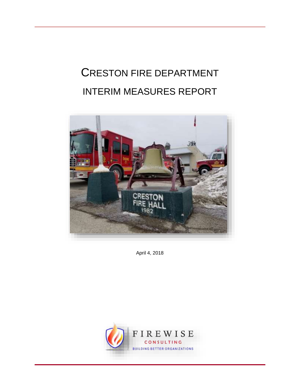# CRESTON FIRE DEPARTMENT INTERIM MEASURES REPORT



April 4, 2018

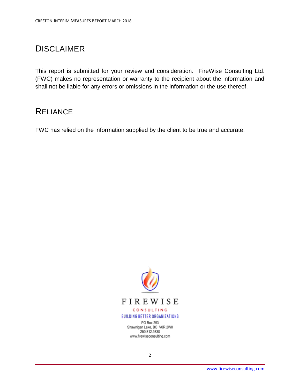# <span id="page-1-0"></span>DISCLAIMER

This report is submitted for your review and consideration. FireWise Consulting Ltd. (FWC) makes no representation or warranty to the recipient about the information and shall not be liable for any errors or omissions in the information or the use thereof.

# <span id="page-1-1"></span>**RELIANCE**

FWC has relied on the information supplied by the client to be true and accurate.



PO Box 253 Shawnigan Lake, BC V0R 2W0 250.812.9830 www.firewiseconsulting.com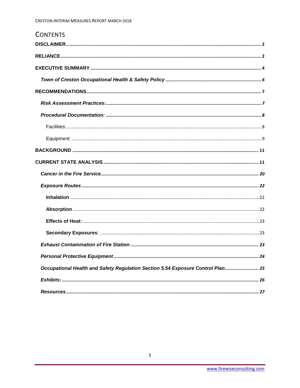| <b>CONTENTS</b>                                                                 |
|---------------------------------------------------------------------------------|
|                                                                                 |
|                                                                                 |
|                                                                                 |
|                                                                                 |
|                                                                                 |
|                                                                                 |
|                                                                                 |
|                                                                                 |
|                                                                                 |
|                                                                                 |
|                                                                                 |
|                                                                                 |
|                                                                                 |
|                                                                                 |
|                                                                                 |
|                                                                                 |
|                                                                                 |
|                                                                                 |
|                                                                                 |
| Occupational Health and Safety Regulation Section 5.54 Exposure Control Plan 25 |
|                                                                                 |
|                                                                                 |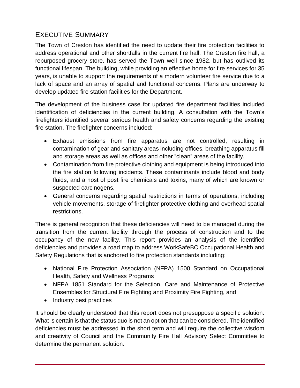# <span id="page-3-0"></span>EXECUTIVE SUMMARY

The Town of Creston has identified the need to update their fire protection facilities to address operational and other shortfalls in the current fire hall. The Creston fire hall, a repurposed grocery store, has served the Town well since 1982, but has outlived its functional lifespan. The building, while providing an effective home for fire services for 35 years, is unable to support the requirements of a modern volunteer fire service due to a lack of space and an array of spatial and functional concerns. Plans are underway to develop updated fire station facilities for the Department.

The development of the business case for updated fire department facilities included identification of deficiencies in the current building. A consultation with the Town's firefighters identified several serious health and safety concerns regarding the existing fire station. The firefighter concerns included:

- Exhaust emissions from fire apparatus are not controlled, resulting in contamination of gear and sanitary areas including offices, breathing apparatus fill and storage areas as well as offices and other "clean" areas of the facility,
- Contamination from fire protective clothing and equipment is being introduced into the fire station following incidents. These contaminants include blood and body fluids, and a host of post fire chemicals and toxins, many of which are known or suspected carcinogens,
- General concerns regarding spatial restrictions in terms of operations, including vehicle movements, storage of firefighter protective clothing and overhead spatial restrictions.

There is general recognition that these deficiencies will need to be managed during the transition from the current facility through the process of construction and to the occupancy of the new facility. This report provides an analysis of the identified deficiencies and provides a road map to address WorkSafeBC Occupational Health and Safety Regulations that is anchored to fire protection standards including:

- National Fire Protection Association (NFPA) 1500 Standard on Occupational Health, Safety and Wellness Programs
- NFPA 1851 Standard for the Selection, Care and Maintenance of Protective Ensembles for Structural Fire Fighting and Proximity Fire Fighting, and
- Industry best practices

It should be clearly understood that this report does not presuppose a specific solution. What is certain is that the status quo is not an option that can be considered. The identified deficiencies must be addressed in the short term and will require the collective wisdom and creativity of Council and the Community Fire Hall Advisory Select Committee to determine the permanent solution.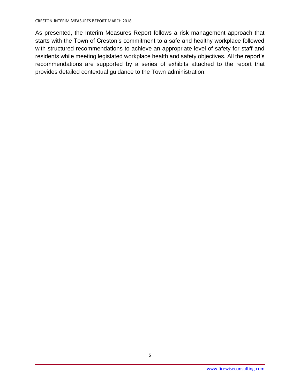As presented, the Interim Measures Report follows a risk management approach that starts with the Town of Creston's commitment to a safe and healthy workplace followed with structured recommendations to achieve an appropriate level of safety for staff and residents while meeting legislated workplace health and safety objectives. All the report's recommendations are supported by a series of exhibits attached to the report that provides detailed contextual guidance to the Town administration.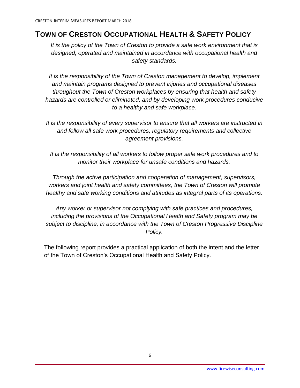# <span id="page-5-0"></span>**TOWN OF CRESTON OCCUPATIONAL HEALTH & SAFETY POLICY**

*It is the policy of the Town of Creston to provide a safe work environment that is designed, operated and maintained in accordance with occupational health and safety standards.*

*It is the responsibility of the Town of Creston management to develop, implement and maintain programs designed to prevent injuries and occupational diseases throughout the Town of Creston workplaces by ensuring that health and safety hazards are controlled or eliminated, and by developing work procedures conducive to a healthy and safe workplace.*

*It is the responsibility of every supervisor to ensure that all workers are instructed in and follow all safe work procedures, regulatory requirements and collective agreement provisions.*

*It is the responsibility of all workers to follow proper safe work procedures and to monitor their workplace for unsafe conditions and hazards.*

*Through the active participation and cooperation of management, supervisors, workers and joint health and safety committees, the Town of Creston will promote healthy and safe working conditions and attitudes as integral parts of its operations.*

*Any worker or supervisor not complying with safe practices and procedures, including the provisions of the Occupational Health and Safety program may be subject to discipline, in accordance with the Town of Creston Progressive Discipline Policy.*

The following report provides a practical application of both the intent and the letter of the Town of Creston's Occupational Health and Safety Policy.

6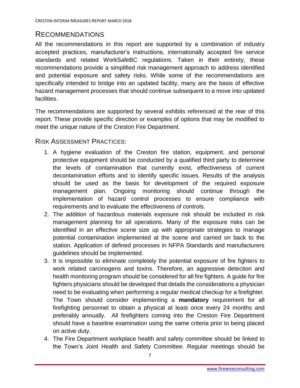# <span id="page-6-0"></span>RECOMMENDATIONS

All the recommendations in this report are supported by a combination of industry accepted practices, manufacturer's instructions, internationally accepted fire service standards and related WorkSafeBC regulations. Taken in their entirety, these recommendations provide a simplified risk management approach to address identified and potential exposure and safety risks. While some of the recommendations are specifically intended to bridge into an updated facility, many are the basis of effective hazard management processes that should continue subsequent to a move into updated facilities.

The recommendations are supported by several exhibits referenced at the rear of this report. These provide specific direction or examples of options that may be modified to meet the unique nature of the Creston Fire Department.

<span id="page-6-1"></span>RISK ASSESSMENT PRACTICES:

- 1. A hygiene evaluation of the Creston fire station, equipment, and personal protective equipment should be conducted by a qualified third party to determine the levels of contamination that currently exist, effectiveness of current decontamination efforts and to identify specific issues. Results of the analysis should be used as the basis for development of the required exposure management plan. Ongoing monitoring should continue through the implementation of hazard control processes to ensure compliance with requirements and to evaluate the effectiveness of controls.
- 2. The addition of hazardous materials exposure risk should be included in risk management planning for all operations. Many of the exposure risks can be identified in an effective scene size up with appropriate strategies to manage potential contamination implemented at the scene and carried on back to the station. Application of defined processes in NFPA Standards and manufacturers guidelines should be implemented.
- 3. It is impossible to eliminate completely the potential exposure of fire fighters to work related carcinogens and toxins. Therefore, an aggressive detection and health monitoring program should be considered for all fire fighters. A guide for fire fighters physicians should be developed that details the considerations a physician need to be evaluating when performing a regular medical checkup for a firefighter. The Town should consider implementing a **mandatory** requirement for all firefighting personnel to obtain a physical at least once every 24 months and preferably annually. All firefighters coming into the Creston Fire Department should have a baseline examination using the same criteria prior to being placed on active duty.
- 4. The Fire Department workplace health and safety committee should be linked to the Town's Joint Health and Safety Committee. Regular meetings should be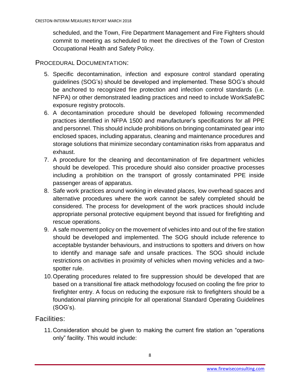scheduled, and the Town, Fire Department Management and Fire Fighters should commit to meeting as scheduled to meet the directives of the Town of Creston Occupational Health and Safety Policy.

## <span id="page-7-0"></span>PROCEDURAL DOCUMENTATION:

- 5. Specific decontamination, infection and exposure control standard operating guidelines (SOG's) should be developed and implemented. These SOG's should be anchored to recognized fire protection and infection control standards (i.e. NFPA) or other demonstrated leading practices and need to include WorkSafeBC exposure registry protocols.
- 6. A decontamination procedure should be developed following recommended practices identified in NFPA 1500 and manufacturer's specifications for all PPE and personnel. This should include prohibitions on bringing contaminated gear into enclosed spaces, including apparatus, cleaning and maintenance procedures and storage solutions that minimize secondary contamination risks from apparatus and exhaust.
- 7. A procedure for the cleaning and decontamination of fire department vehicles should be developed. This procedure should also consider proactive processes including a prohibition on the transport of grossly contaminated PPE inside passenger areas of apparatus.
- 8. Safe work practices around working in elevated places, low overhead spaces and alternative procedures where the work cannot be safely completed should be considered. The process for development of the work practices should include appropriate personal protective equipment beyond that issued for firefighting and rescue operations.
- 9. A safe movement policy on the movement of vehicles into and out of the fire station should be developed and implemented. The SOG should include reference to acceptable bystander behaviours, and instructions to spotters and drivers on how to identify and manage safe and unsafe practices. The SOG should include restrictions on activities in proximity of vehicles when moving vehicles and a twospotter rule.
- 10.Operating procedures related to fire suppression should be developed that are based on a transitional fire attack methodology focused on cooling the fire prior to firefighter entry. A focus on reducing the exposure risk to firefighters should be a foundational planning principle for all operational Standard Operating Guidelines (SOG's).

## <span id="page-7-1"></span>Facilities:

11.Consideration should be given to making the current fire station an "operations only" facility. This would include: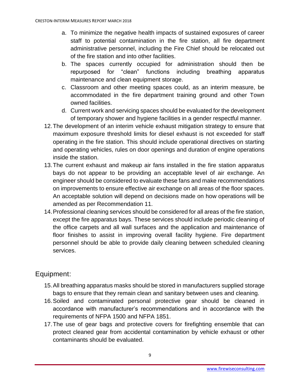- a. To minimize the negative health impacts of sustained exposures of career staff to potential contamination in the fire station, all fire department administrative personnel, including the Fire Chief should be relocated out of the fire station and into other facilities.
- b. The spaces currently occupied for administration should then be repurposed for "clean" functions including breathing apparatus maintenance and clean equipment storage.
- c. Classroom and other meeting spaces could, as an interim measure, be accommodated in the fire department training ground and other Town owned facilities.
- d. Current work and servicing spaces should be evaluated for the development of temporary shower and hygiene facilities in a gender respectful manner.
- 12.The development of an interim vehicle exhaust mitigation strategy to ensure that maximum exposure threshold limits for diesel exhaust is not exceeded for staff operating in the fire station. This should include operational directives on starting and operating vehicles, rules on door openings and duration of engine operations inside the station.
- 13.The current exhaust and makeup air fans installed in the fire station apparatus bays do not appear to be providing an acceptable level of air exchange. An engineer should be considered to evaluate these fans and make recommendations on improvements to ensure effective air exchange on all areas of the floor spaces. An acceptable solution will depend on decisions made on how operations will be amended as per Recommendation 11.
- 14.Professional cleaning services should be considered for all areas of the fire station, except the fire apparatus bays. These services should include periodic cleaning of the office carpets and all wall surfaces and the application and maintenance of floor finishes to assist in improving overall facility hygiene. Fire department personnel should be able to provide daily cleaning between scheduled cleaning services.

# <span id="page-8-0"></span>Equipment:

- 15.All breathing apparatus masks should be stored in manufacturers supplied storage bags to ensure that they remain clean and sanitary between uses and cleaning.
- 16.Soiled and contaminated personal protective gear should be cleaned in accordance with manufacturer's recommendations and in accordance with the requirements of NFPA 1500 and NFPA 1851.
- 17.The use of gear bags and protective covers for firefighting ensemble that can protect cleaned gear from accidental contamination by vehicle exhaust or other contaminants should be evaluated.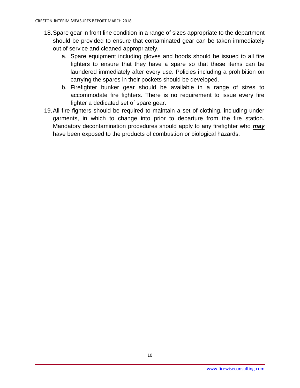- 18.Spare gear in front line condition in a range of sizes appropriate to the department should be provided to ensure that contaminated gear can be taken immediately out of service and cleaned appropriately.
	- a. Spare equipment including gloves and hoods should be issued to all fire fighters to ensure that they have a spare so that these items can be laundered immediately after every use. Policies including a prohibition on carrying the spares in their pockets should be developed.
	- b. Firefighter bunker gear should be available in a range of sizes to accommodate fire fighters. There is no requirement to issue every fire fighter a dedicated set of spare gear.
- 19.All fire fighters should be required to maintain a set of clothing, including under garments, in which to change into prior to departure from the fire station. Mandatory decontamination procedures should apply to any firefighter who *may* have been exposed to the products of combustion or biological hazards.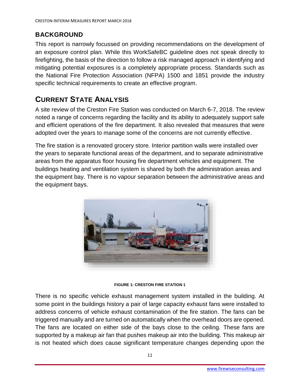# <span id="page-10-0"></span>**BACKGROUND**

This report is narrowly focussed on providing recommendations on the development of an exposure control plan. While this WorkSafeBC guideline does not speak directly to firefighting, the basis of the direction to follow a risk managed approach in identifying and mitigating potential exposures is a completely appropriate process. Standards such as the National Fire Protection Association (NFPA) 1500 and 1851 provide the industry specific technical requirements to create an effective program.

# <span id="page-10-1"></span>**CURRENT STATE ANALYSIS**

A site review of the Creston Fire Station was conducted on March 6-7, 2018. The review noted a range of concerns regarding the facility and its ability to adequately support safe and efficient operations of the fire department. It also revealed that measures that were adopted over the years to manage some of the concerns are not currently effective.

The fire station is a renovated grocery store. Interior partition walls were installed over the years to separate functional areas of the department, and to separate administrative areas from the apparatus floor housing fire department vehicles and equipment. The buildings heating and ventilation system is shared by both the administration areas and the equipment bay. There is no vapour separation between the administrative areas and the equipment bays.



**FIGURE 1: CRESTON FIRE STATION 1**

There is no specific vehicle exhaust management system installed in the building. At some point in the buildings history a pair of large capacity exhaust fans were installed to address concerns of vehicle exhaust contamination of the fire station. The fans can be triggered manually and are turned on automatically when the overhead doors are opened. The fans are located on either side of the bays close to the ceiling. These fans are supported by a makeup air fan that pushes makeup air into the building. This makeup air is not heated which does cause significant temperature changes depending upon the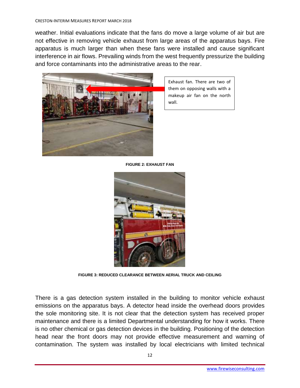weather. Initial evaluations indicate that the fans do move a large volume of air but are not effective in removing vehicle exhaust from large areas of the apparatus bays. Fire apparatus is much larger than when these fans were installed and cause significant interference in air flows. Prevailing winds from the west frequently pressurize the building and force contaminants into the administrative areas to the rear.



Exhaust fan. There are two of them on opposing walls with a makeup air fan on the north wall.

**FIGURE 2: EXHAUST FAN**



**FIGURE 3: REDUCED CLEARANCE BETWEEN AERIAL TRUCK AND CEILING**

There is a gas detection system installed in the building to monitor vehicle exhaust emissions on the apparatus bays. A detector head inside the overhead doors provides the sole monitoring site. It is not clear that the detection system has received proper maintenance and there is a limited Departmental understanding for how it works. There is no other chemical or gas detection devices in the building. Positioning of the detection head near the front doors may not provide effective measurement and warning of contamination. The system was installed by local electricians with limited technical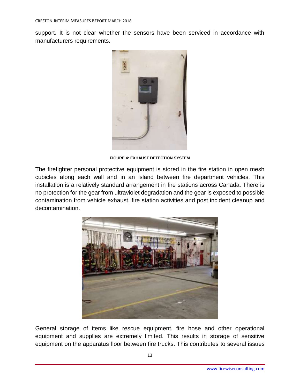support. It is not clear whether the sensors have been serviced in accordance with manufacturers requirements.



**FIGURE 4: EXHAUST DETECTION SYSTEM**

The firefighter personal protective equipment is stored in the fire station in open mesh cubicles along each wall and in an island between fire department vehicles. This installation is a relatively standard arrangement in fire stations across Canada. There is no protection for the gear from ultraviolet degradation and the gear is exposed to possible contamination from vehicle exhaust, fire station activities and post incident cleanup and decontamination.



General storage of items like rescue equipment, fire hose and other operational equipment and supplies are extremely limited. This results in storage of sensitive equipment on the apparatus floor between fire trucks. This contributes to several issues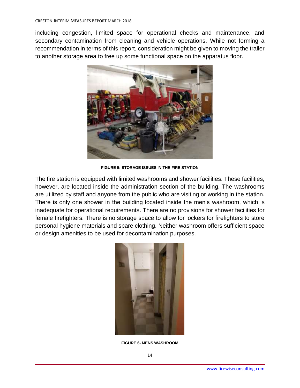including congestion, limited space for operational checks and maintenance, and secondary contamination from cleaning and vehicle operations. While not forming a recommendation in terms of this report, consideration might be given to moving the trailer to another storage area to free up some functional space on the apparatus floor.



**FIGURE 5: STORAGE ISSUES IN THE FIRE STATION**

The fire station is equipped with limited washrooms and shower facilities. These facilities, however, are located inside the administration section of the building. The washrooms are utilized by staff and anyone from the public who are visiting or working in the station. There is only one shower in the building located inside the men's washroom, which is inadequate for operational requirements. There are no provisions for shower facilities for female firefighters. There is no storage space to allow for lockers for firefighters to store personal hygiene materials and spare clothing. Neither washroom offers sufficient space or design amenities to be used for decontamination purposes.



**FIGURE 6- MENS WASHROOM**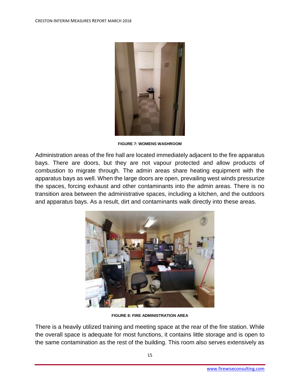

**FIGURE 7: WOMENS WASHROOM**

Administration areas of the fire hall are located immediately adjacent to the fire apparatus bays. There are doors, but they are not vapour protected and allow products of combustion to migrate through. The admin areas share heating equipment with the apparatus bays as well. When the large doors are open, prevailing west winds pressurize the spaces, forcing exhaust and other contaminants into the admin areas. There is no transition area between the administrative spaces, including a kitchen, and the outdoors and apparatus bays. As a result, dirt and contaminants walk directly into these areas.



**FIGURE 8: FIRE ADMINISTRATION AREA**

There is a heavily utilized training and meeting space at the rear of the fire station. While the overall space is adequate for most functions, it contains little storage and is open to the same contamination as the rest of the building. This room also serves extensively as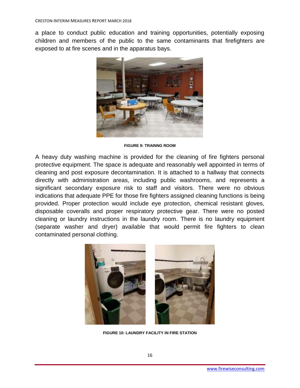a place to conduct public education and training opportunities, potentially exposing children and members of the public to the same contaminants that firefighters are exposed to at fire scenes and in the apparatus bays.



**FIGURE 9: TRAINNG ROOM**

A heavy duty washing machine is provided for the cleaning of fire fighters personal protective equipment. The space is adequate and reasonably well appointed in terms of cleaning and post exposure decontamination. It is attached to a hallway that connects directly with administration areas, including public washrooms, and represents a significant secondary exposure risk to staff and visitors. There were no obvious indications that adequate PPE for those fire fighters assigned cleaning functions is being provided. Proper protection would include eye protection, chemical resistant gloves, disposable coveralls and proper respiratory protective gear. There were no posted cleaning or laundry instructions in the laundry room. There is no laundry equipment (separate washer and dryer) available that would permit fire fighters to clean contaminated personal clothing.



**FIGURE 10: LAUNDRY FACILITY IN FIRE STATION**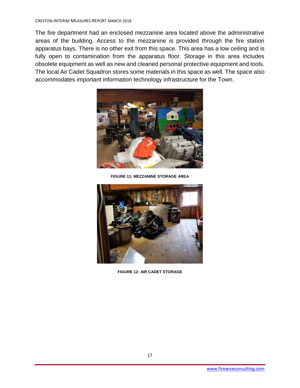The fire department had an enclosed mezzanine area located above the administrative areas of the building. Access to the mezzanine is provided through the fire station apparatus bays. There is no other exit from this space. This area has a low ceiling and is fully open to contamination from the apparatus floor. Storage in this area includes obsolete equipment as well as new and cleaned personal protective equipment and tools. The local Air Cadet Squadron stores some materials in this space as well. The space also accommodates important information technology infrastructure for the Town.



**FIGURE 11: MEZZANINE STORAGE AREA**



**FIGURE 12: AIR CADET STORAGE**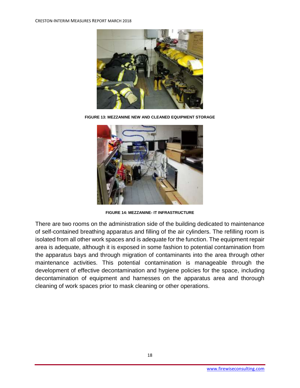

**FIGURE 13: MEZZANINE NEW AND CLEANED EQUIPMENT STORAGE**



**FIGURE 14: MEZZANINE- IT INFRASTRUCTURE**

There are two rooms on the administration side of the building dedicated to maintenance of self-contained breathing apparatus and filling of the air cylinders. The refilling room is isolated from all other work spaces and is adequate for the function. The equipment repair area is adequate, although it is exposed in some fashion to potential contamination from the apparatus bays and through migration of contaminants into the area through other maintenance activities. This potential contamination is manageable through the development of effective decontamination and hygiene policies for the space, including decontamination of equipment and harnesses on the apparatus area and thorough cleaning of work spaces prior to mask cleaning or other operations.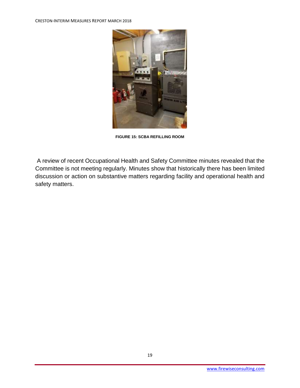

**FIGURE 15: SCBA REFILLING ROOM**

A review of recent Occupational Health and Safety Committee minutes revealed that the Committee is not meeting regularly. Minutes show that historically there has been limited discussion or action on substantive matters regarding facility and operational health and safety matters.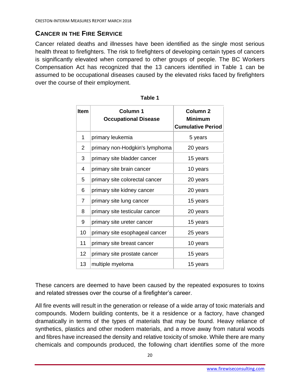# <span id="page-19-0"></span>**CANCER IN THE FIRE SERVICE**

Cancer related deaths and illnesses have been identified as the single most serious health threat to firefighters. The risk to firefighters of developing certain types of cancers is significantly elevated when compared to other groups of people. The BC Workers Compensation Act has recognized that the 13 cancers identified in Table 1 can be assumed to be occupational diseases caused by the elevated risks faced by firefighters over the course of their employment.

| Item            | Column 1<br><b>Occupational Disease</b> | <b>Column 2</b><br><b>Minimum</b><br><b>Cumulative Period</b> |
|-----------------|-----------------------------------------|---------------------------------------------------------------|
| 1               | primary leukemia                        | 5 years                                                       |
| 2               | primary non-Hodgkin's lymphoma          | 20 years                                                      |
| 3               | primary site bladder cancer             | 15 years                                                      |
| 4               | primary site brain cancer               | 10 years                                                      |
| 5               | primary site colorectal cancer          | 20 years                                                      |
| 6               | primary site kidney cancer              | 20 years                                                      |
| 7               | primary site lung cancer                | 15 years                                                      |
| 8               | primary site testicular cancer          | 20 years                                                      |
| 9               | primary site ureter cancer              | 15 years                                                      |
| 10              | primary site esophageal cancer          | 25 years                                                      |
| 11              | primary site breast cancer              | 10 years                                                      |
| 12 <sub>2</sub> | primary site prostate cancer            | 15 years                                                      |
| 13              | multiple myeloma                        | 15 years                                                      |

These cancers are deemed to have been caused by the repeated exposures to toxins and related stresses over the course of a firefighter's career.

All fire events will result in the generation or release of a wide array of toxic materials and compounds. Modern building contents, be it a residence or a factory, have changed dramatically in terms of the types of materials that may be found. Heavy reliance of synthetics, plastics and other modern materials, and a move away from natural woods and fibres have increased the density and relative toxicity of smoke. While there are many chemicals and compounds produced, the following chart identifies some of the more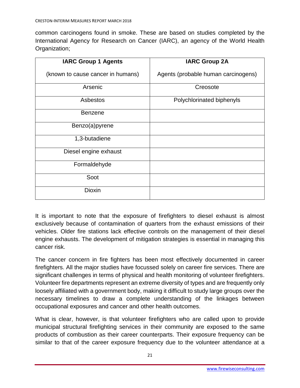common carcinogens found in smoke. These are based on studies completed by the International Agency for Research on Cancer (IARC), an agency of the World Health Organization;

| <b>IARC Group 1 Agents</b>        | <b>IARC Group 2A</b>                |
|-----------------------------------|-------------------------------------|
| (known to cause cancer in humans) | Agents (probable human carcinogens) |
| Arsenic                           | Creosote                            |
| Asbestos                          | Polychlorinated biphenyls           |
| <b>Benzene</b>                    |                                     |
| Benzo(a)pyrene                    |                                     |
| 1,3-butadiene                     |                                     |
| Diesel engine exhaust             |                                     |
| Formaldehyde                      |                                     |
| Soot                              |                                     |
| <b>Dioxin</b>                     |                                     |

It is important to note that the exposure of firefighters to diesel exhaust is almost exclusively because of contamination of quarters from the exhaust emissions of their vehicles. Older fire stations lack effective controls on the management of their diesel engine exhausts. The development of mitigation strategies is essential in managing this cancer risk.

The cancer concern in fire fighters has been most effectively documented in career firefighters. All the major studies have focussed solely on career fire services. There are significant challenges in terms of physical and health monitoring of volunteer firefighters. Volunteer fire departments represent an extreme diversity of types and are frequently only loosely affiliated with a government body, making it difficult to study large groups over the necessary timelines to draw a complete understanding of the linkages between occupational exposures and cancer and other health outcomes.

What is clear, however, is that volunteer firefighters who are called upon to provide municipal structural firefighting services in their community are exposed to the same products of combustion as their career counterparts. Their exposure frequency can be similar to that of the career exposure frequency due to the volunteer attendance at a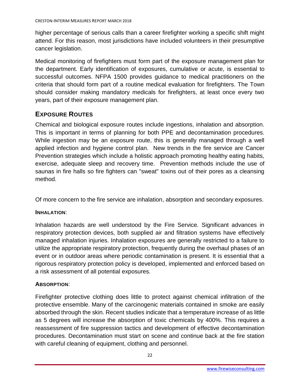higher percentage of serious calls than a career firefighter working a specific shift might attend. For this reason, most jurisdictions have included volunteers in their presumptive cancer legislation.

Medical monitoring of firefighters must form part of the exposure management plan for the department. Early identification of exposures, cumulative or acute, is essential to successful outcomes. NFPA 1500 provides guidance to medical practitioners on the criteria that should form part of a routine medical evaluation for firefighters. The Town should consider making mandatory medicals for firefighters, at least once every two years, part of their exposure management plan.

## <span id="page-21-0"></span>**EXPOSURE ROUTES**

Chemical and biological exposure routes include ingestions, inhalation and absorption. This is important in terms of planning for both PPE and decontamination procedures. While ingestion may be an exposure route, this is generally managed through a well applied infection and hygiene control plan. New trends in the fire service are Cancer Prevention strategies which include a holistic approach promoting healthy eating habits, exercise, adequate sleep and recovery time. Prevention methods include the use of saunas in fire halls so fire fighters can "sweat" toxins out of their pores as a cleansing method.

Of more concern to the fire service are inhalation, absorption and secondary exposures.

## <span id="page-21-1"></span>**INHALATION**:

Inhalation hazards are well understood by the Fire Service. Significant advances in respiratory protection devices, both supplied air and filtration systems have effectively managed inhalation injuries. Inhalation exposures are generally restricted to a failure to utilize the appropriate respiratory protection, frequently during the overhaul phases of an event or in outdoor areas where periodic contamination is present. It is essential that a rigorous respiratory protection policy is developed, implemented and enforced based on a risk assessment of all potential exposures.

## <span id="page-21-2"></span>**ABSORPTION**:

Firefighter protective clothing does little to protect against chemical infiltration of the protective ensemble. Many of the carcinogenic materials contained in smoke are easily absorbed through the skin. Recent studies indicate that a temperature increase of as little as 5 degrees will increase the absorption of toxic chemicals by 400%. This requires a reassessment of fire suppression tactics and development of effective decontamination procedures. Decontamination must start on scene and continue back at the fire station with careful cleaning of equipment, clothing and personnel.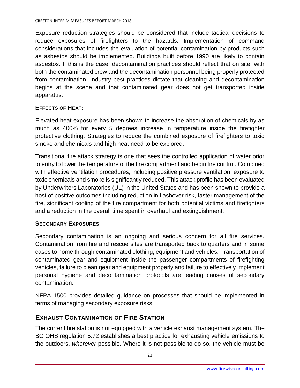Exposure reduction strategies should be considered that include tactical decisions to reduce exposures of firefighters to the hazards. Implementation of command considerations that includes the evaluation of potential contamination by products such as asbestos should be implemented. Buildings built before 1990 are likely to contain asbestos. If this is the case, decontamination practices should reflect that on site, with both the contaminated crew and the decontamination personnel being properly protected from contamination. Industry best practices dictate that cleaning and decontamination begins at the scene and that contaminated gear does not get transported inside apparatus.

## <span id="page-22-0"></span>**EFFECTS OF HEAT:**

Elevated heat exposure has been shown to increase the absorption of chemicals by as much as 400% for every 5 degrees increase in temperature inside the firefighter protective clothing. Strategies to reduce the combined exposure of firefighters to toxic smoke and chemicals and high heat need to be explored.

Transitional fire attack strategy is one that sees the controlled application of water prior to entry to lower the temperature of the fire compartment and begin fire control. Combined with effective ventilation procedures, including positive pressure ventilation, exposure to toxic chemicals and smoke is significantly reduced. This attack profile has been evaluated by Underwriters Laboratories (UL) in the United States and has been shown to provide a host of positive outcomes including reduction in flashover risk, faster management of the fire, significant cooling of the fire compartment for both potential victims and firefighters and a reduction in the overall time spent in overhaul and extinguishment.

## <span id="page-22-1"></span>**SECONDARY EXPOSURES**:

Secondary contamination is an ongoing and serious concern for all fire services. Contamination from fire and rescue sites are transported back to quarters and in some cases to home through contaminated clothing, equipment and vehicles. Transportation of contaminated gear and equipment inside the passenger compartments of firefighting vehicles, failure to clean gear and equipment properly and failure to effectively implement personal hygiene and decontamination protocols are leading causes of secondary contamination.

NFPA 1500 provides detailed guidance on processes that should be implemented in terms of managing secondary exposure risks.

## <span id="page-22-2"></span>**EXHAUST CONTAMINATION OF FIRE STATION**

The current fire station is not equipped with a vehicle exhaust management system. The BC OHS regulation 5.72 establishes a best practice for exhausting vehicle emissions to the outdoors, *wherever* possible. Where it is not possible to do so, the vehicle must be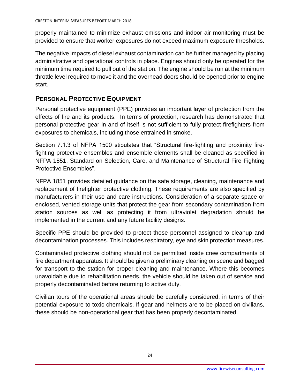properly maintained to minimize exhaust emissions and indoor air monitoring must be provided to ensure that worker exposures do not exceed maximum exposure thresholds.

The negative impacts of diesel exhaust contamination can be further managed by placing administrative and operational controls in place. Engines should only be operated for the minimum time required to pull out of the station. The engine should be run at the minimum throttle level required to move it and the overhead doors should be opened prior to engine start.

## <span id="page-23-0"></span>**PERSONAL PROTECTIVE EQUIPMENT**

Personal protective equipment (PPE) provides an important layer of protection from the effects of fire and its products. In terms of protection, research has demonstrated that personal protective gear in and of itself is not sufficient to fully protect firefighters from exposures to chemicals, including those entrained in smoke.

Section 7.1.3 of NFPA 1500 stipulates that "Structural fire-fighting and proximity firefighting protective ensembles and ensemble elements shall be cleaned as specified in NFPA 1851, Standard on Selection, Care, and Maintenance of Structural Fire Fighting Protective Ensembles".

NFPA 1851 provides detailed guidance on the safe storage, cleaning, maintenance and replacement of firefighter protective clothing. These requirements are also specified by manufacturers in their use and care instructions. Consideration of a separate space or enclosed, vented storage units that protect the gear from secondary contamination from station sources as well as protecting it from ultraviolet degradation should be implemented in the current and any future facility designs.

Specific PPE should be provided to protect those personnel assigned to cleanup and decontamination processes. This includes respiratory, eye and skin protection measures.

Contaminated protective clothing should not be permitted inside crew compartments of fire department apparatus. It should be given a preliminary cleaning on scene and bagged for transport to the station for proper cleaning and maintenance. Where this becomes unavoidable due to rehabilitation needs, the vehicle should be taken out of service and properly decontaminated before returning to active duty.

Civilian tours of the operational areas should be carefully considered, in terms of their potential exposure to toxic chemicals. If gear and helmets are to be placed on civilians, these should be non-operational gear that has been properly decontaminated.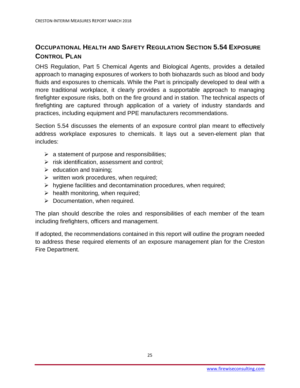# <span id="page-24-0"></span>**OCCUPATIONAL HEALTH AND SAFETY REGULATION SECTION 5.54 EXPOSURE CONTROL PLAN**

OHS Regulation, Part 5 Chemical Agents and Biological Agents, provides a detailed approach to managing exposures of workers to both biohazards such as blood and body fluids and exposures to chemicals. While the Part is principally developed to deal with a more traditional workplace, it clearly provides a supportable approach to managing firefighter exposure risks, both on the fire ground and in station. The technical aspects of firefighting are captured through application of a variety of industry standards and practices, including equipment and PPE manufacturers recommendations.

Section 5.54 discusses the elements of an exposure control plan meant to effectively address workplace exposures to chemicals. It lays out a seven-element plan that includes:

- $\triangleright$  a statement of purpose and responsibilities;
- $\triangleright$  risk identification, assessment and control;
- $\triangleright$  education and training;
- $\triangleright$  written work procedures, when required;
- ➢ hygiene facilities and decontamination procedures, when required;
- $\triangleright$  health monitoring, when required;
- $\triangleright$  Documentation, when required.

The plan should describe the roles and responsibilities of each member of the team including firefighters, officers and management.

If adopted, the recommendations contained in this report will outline the program needed to address these required elements of an exposure management plan for the Creston Fire Department.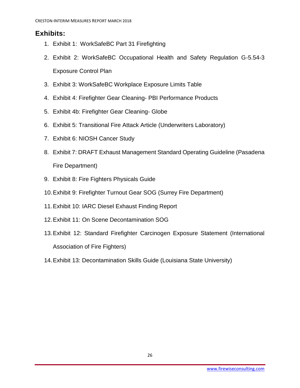# <span id="page-25-0"></span>**Exhibits:**

- 1. Exhibit 1: WorkSafeBC Part 31 Firefighting
- 2. Exhibit 2: WorkSafeBC Occupational Health and Safety Regulation G-5.54-3 Exposure Control Plan
- 3. Exhibit 3: WorkSafeBC Workplace Exposure Limits Table
- 4. Exhibit 4: Firefighter Gear Cleaning- PBI Performance Products
- 5. Exhibit 4b: Firefighter Gear Cleaning- Globe
- 6. Exhibit 5: Transitional Fire Attack Article (Underwriters Laboratory)
- 7. Exhibit 6: NIOSH Cancer Study
- 8. Exhibit 7: DRAFT Exhaust Management Standard Operating Guideline (Pasadena Fire Department)
- 9. Exhibit 8: Fire Fighters Physicals Guide
- 10.Exhibit 9: Firefighter Turnout Gear SOG (Surrey Fire Department)
- 11.Exhibit 10: IARC Diesel Exhaust Finding Report
- 12.Exhibit 11: On Scene Decontamination SOG
- 13.Exhibit 12: Standard Firefighter Carcinogen Exposure Statement (International Association of Fire Fighters)
- 14.Exhibit 13: Decontamination Skills Guide (Louisiana State University)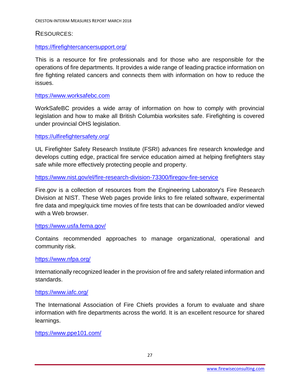## <span id="page-26-0"></span>RESOURCES:

### <https://firefightercancersupport.org/>

This is a resource for fire professionals and for those who are responsible for the operations of fire departments. It provides a wide range of leading practice information on fire fighting related cancers and connects them with information on how to reduce the issues.

#### [https://www.worksafebc.com](https://www.worksafebc.com/)

WorkSafeBC provides a wide array of information on how to comply with provincial legislation and how to make all British Columbia worksites safe. Firefighting is covered under provincial OHS legislation.

#### <https://ulfirefightersafety.org/>

UL Firefighter Safety Research Institute (FSRI) advances fire research knowledge and develops cutting edge, practical fire service education aimed at helping firefighters stay safe while more effectively protecting people and property.

#### <https://www.nist.gov/el/fire-research-division-73300/firegov-fire-service>

Fire.gov is a collection of resources from the Engineering Laboratory's Fire Research Division at NIST. These Web pages provide links to fire related software, experimental fire data and mpeg/quick time movies of fire tests that can be downloaded and/or viewed with a Web browser.

#### <https://www.usfa.fema.gov/>

Contains recommended approaches to manage organizational, operational and community risk.

#### <https://www.nfpa.org/>

Internationally recognized leader in the provision of fire and safety related information and standards.

#### <https://www.iafc.org/>

The International Association of Fire Chiefs provides a forum to evaluate and share information with fire departments across the world. It is an excellent resource for shared learnings.

#### <https://www.ppe101.com/>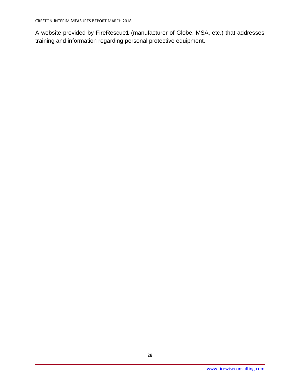A website provided by FireRescue1 (manufacturer of Globe, MSA, etc.) that addresses training and information regarding personal protective equipment.